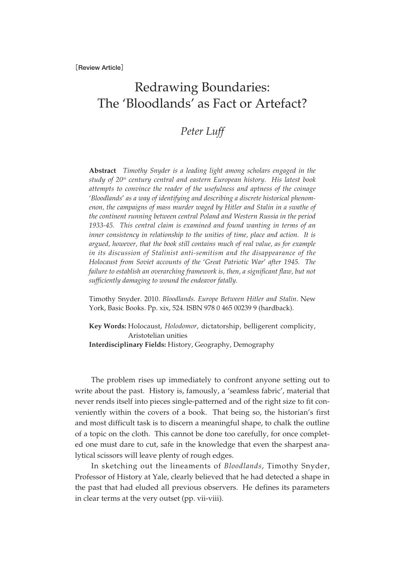## Redrawing Boundaries: The 'Bloodlands' as Fact or Artefact?

## *Peter Luff*

**Abstract** *Timothy Snyder is a leading light among scholars engaged in the study of 20th century central and eastern European history. His latest book attempts to convince the reader of the usefulness and aptness of the coinage* '*Bloodlands*' *as a way of identifying and describing a discrete historical phenomenon, the campaigns of mass murder waged by Hitler and Stalin in a swathe of the continent running between central Poland and Western Russia in the period 1933-45. This central claim is examined and found wanting in terms of an inner consistency in relationship to the unities of time, place and action. It is argued, however, that the book still contains much of real value, as for example in its discussion of Stalinist anti-semitism and the disappearance of the Holocaust from Soviet accounts of the* '*Great Patriotic War*' *after 1945. The failure to establish an overarching framework is, then, a significant flaw, but not sufficiently damaging to wound the endeavor fatally.* 

Timothy Snyder. 2010. *Bloodlands. Europe Between Hitler and Stalin*. New York, Basic Books. Pp. xix, 524. ISBN 978 0 465 00239 9 (hardback).

**Key Words:** Holocaust, *Holodomor*, dictatorship, belligerent complicity, Aristotelian unities **Interdisciplinary Fields:** History, Geography, Demography

The problem rises up immediately to confront anyone setting out to write about the past. History is, famously, a 'seamless fabric', material that never rends itself into pieces single-patterned and of the right size to fit conveniently within the covers of a book. That being so, the historian's first and most difficult task is to discern a meaningful shape, to chalk the outline of a topic on the cloth. This cannot be done too carefully, for once completed one must dare to cut, safe in the knowledge that even the sharpest analytical scissors will leave plenty of rough edges.

In sketching out the lineaments of *Bloodlands*, Timothy Snyder, Professor of History at Yale, clearly believed that he had detected a shape in the past that had eluded all previous observers. He defines its parameters in clear terms at the very outset (pp. vii-viii).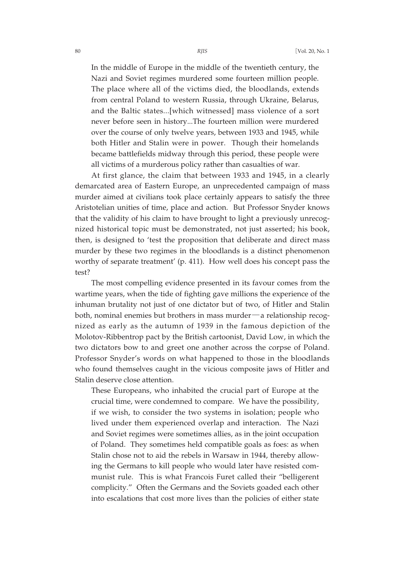In the middle of Europe in the middle of the twentieth century, the Nazi and Soviet regimes murdered some fourteen million people. The place where all of the victims died, the bloodlands, extends from central Poland to western Russia, through Ukraine, Belarus, and the Baltic states...[which witnessed] mass violence of a sort never before seen in history...The fourteen million were murdered over the course of only twelve years, between 1933 and 1945, while both Hitler and Stalin were in power. Though their homelands became battlefields midway through this period, these people were all victims of a murderous policy rather than casualties of war.

At first glance, the claim that between 1933 and 1945, in a clearly demarcated area of Eastern Europe, an unprecedented campaign of mass murder aimed at civilians took place certainly appears to satisfy the three Aristotelian unities of time, place and action. But Professor Snyder knows that the validity of his claim to have brought to light a previously unrecognized historical topic must be demonstrated, not just asserted; his book, then, is designed to 'test the proposition that deliberate and direct mass murder by these two regimes in the bloodlands is a distinct phenomenon worthy of separate treatment' (p. 411). How well does his concept pass the test?

The most compelling evidence presented in its favour comes from the wartime years, when the tide of fighting gave millions the experience of the inhuman brutality not just of one dictator but of two, of Hitler and Stalin both, nominal enemies but brothers in mass murder―a relationship recognized as early as the autumn of 1939 in the famous depiction of the Molotov-Ribbentrop pact by the British cartoonist, David Low, in which the two dictators bow to and greet one another across the corpse of Poland. Professor Snyder's words on what happened to those in the bloodlands who found themselves caught in the vicious composite jaws of Hitler and Stalin deserve close attention.

These Europeans, who inhabited the crucial part of Europe at the crucial time, were condemned to compare. We have the possibility, if we wish, to consider the two systems in isolation; people who lived under them experienced overlap and interaction. The Nazi and Soviet regimes were sometimes allies, as in the joint occupation of Poland. They sometimes held compatible goals as foes: as when Stalin chose not to aid the rebels in Warsaw in 1944, thereby allowing the Germans to kill people who would later have resisted communist rule. This is what Francois Furet called their "belligerent complicity." Often the Germans and the Soviets goaded each other into escalations that cost more lives than the policies of either state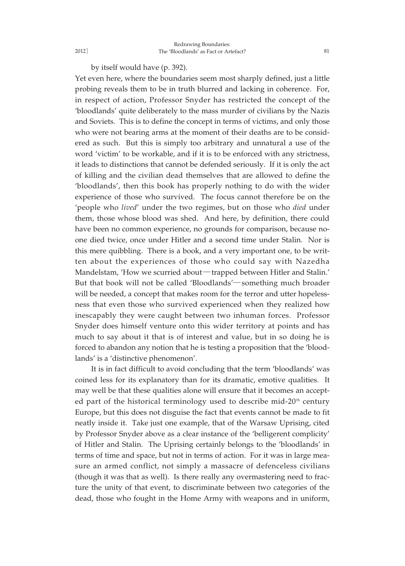by itself would have (p. 392).

Yet even here, where the boundaries seem most sharply defined, just a little probing reveals them to be in truth blurred and lacking in coherence. For, in respect of action, Professor Snyder has restricted the concept of the 'bloodlands' quite deliberately to the mass murder of civilians by the Nazis and Soviets. This is to define the concept in terms of victims, and only those who were not bearing arms at the moment of their deaths are to be considered as such. But this is simply too arbitrary and unnatural a use of the word 'victim' to be workable, and if it is to be enforced with any strictness, it leads to distinctions that cannot be defended seriously. If it is only the act of killing and the civilian dead themselves that are allowed to define the 'bloodlands', then this book has properly nothing to do with the wider experience of those who survived. The focus cannot therefore be on the 'people who *lived*' under the two regimes, but on those who *died* under them, those whose blood was shed. And here, by definition, there could have been no common experience, no grounds for comparison, because noone died twice, once under Hitler and a second time under Stalin. Nor is this mere quibbling. There is a book, and a very important one, to be written about the experiences of those who could say with Nazedha Mandelstam, 'How we scurried about-trapped between Hitler and Stalin.' But that book will not be called 'Bloodlands'―something much broader will be needed, a concept that makes room for the terror and utter hopelessness that even those who survived experienced when they realized how inescapably they were caught between two inhuman forces. Professor Snyder does himself venture onto this wider territory at points and has much to say about it that is of interest and value, but in so doing he is forced to abandon any notion that he is testing a proposition that the 'bloodlands' is a 'distinctive phenomenon'.

It is in fact difficult to avoid concluding that the term 'bloodlands' was coined less for its explanatory than for its dramatic, emotive qualities. It may well be that these qualities alone will ensure that it becomes an accepted part of the historical terminology used to describe mid- $20<sup>th</sup>$  century Europe, but this does not disguise the fact that events cannot be made to fit neatly inside it. Take just one example, that of the Warsaw Uprising, cited by Professor Snyder above as a clear instance of the 'belligerent complicity' of Hitler and Stalin. The Uprising certainly belongs to the 'bloodlands' in terms of time and space, but not in terms of action. For it was in large measure an armed conflict, not simply a massacre of defenceless civilians (though it was that as well). Is there really any overmastering need to fracture the unity of that event, to discriminate between two categories of the dead, those who fought in the Home Army with weapons and in uniform,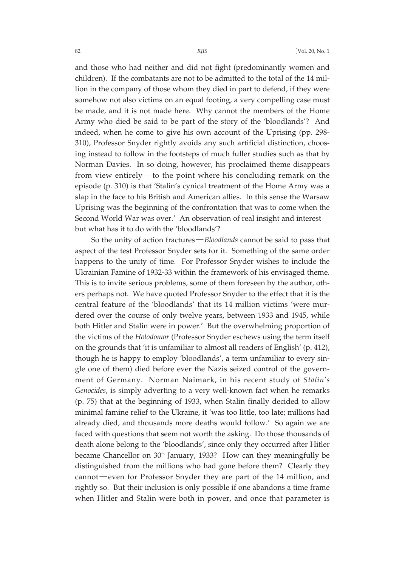and those who had neither and did not fight (predominantly women and children). If the combatants are not to be admitted to the total of the 14 million in the company of those whom they died in part to defend, if they were somehow not also victims on an equal footing, a very compelling case must be made, and it is not made here. Why cannot the members of the Home Army who died be said to be part of the story of the 'bloodlands'? And indeed, when he come to give his own account of the Uprising (pp. 298- 310), Professor Snyder rightly avoids any such artificial distinction, choosing instead to follow in the footsteps of much fuller studies such as that by Norman Davies. In so doing, however, his proclaimed theme disappears from view entirely—to the point where his concluding remark on the episode (p. 310) is that 'Stalin's cynical treatment of the Home Army was a slap in the face to his British and American allies. In this sense the Warsaw Uprising was the beginning of the confrontation that was to come when the Second World War was over.' An observation of real insight and interest― but what has it to do with the 'bloodlands'?

So the unity of action fractures―*Bloodlands* cannot be said to pass that aspect of the test Professor Snyder sets for it. Something of the same order happens to the unity of time. For Professor Snyder wishes to include the Ukrainian Famine of 1932-33 within the framework of his envisaged theme. This is to invite serious problems, some of them foreseen by the author, others perhaps not. We have quoted Professor Snyder to the effect that it is the central feature of the 'bloodlands' that its 14 million victims 'were murdered over the course of only twelve years, between 1933 and 1945, while both Hitler and Stalin were in power.' But the overwhelming proportion of the victims of the *Holodomor* (Professor Snyder eschews using the term itself on the grounds that 'it is unfamiliar to almost all readers of English' (p. 412), though he is happy to employ 'bloodlands', a term unfamiliar to every single one of them) died before ever the Nazis seized control of the government of Germany. Norman Naimark, in his recent study of *Stalin's Genocides*, is simply adverting to a very well-known fact when he remarks (p. 75) that at the beginning of 1933, when Stalin finally decided to allow minimal famine relief to the Ukraine, it 'was too little, too late; millions had already died, and thousands more deaths would follow.' So again we are faced with questions that seem not worth the asking. Do those thousands of death alone belong to the 'bloodlands', since only they occurred after Hitler became Chancellor on  $30<sup>th</sup>$  January, 1933? How can they meaningfully be distinguished from the millions who had gone before them? Clearly they cannot―even for Professor Snyder they are part of the 14 million, and rightly so. But their inclusion is only possible if one abandons a time frame when Hitler and Stalin were both in power, and once that parameter is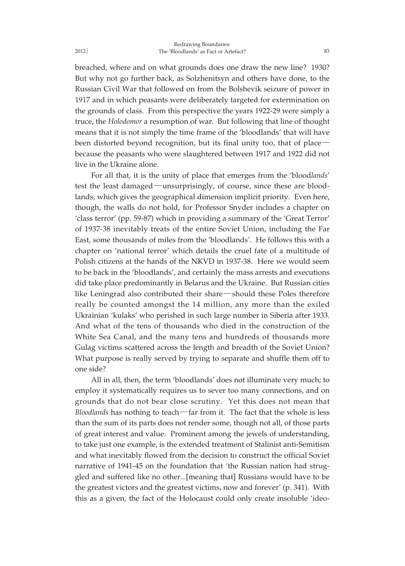breached, where and on what grounds does one draw the new line? 1930? But why not go further back, as Solzhenitsyn and others have done, to the Russian Civil War that followed on from the Bolshevik seizure of power in 1917 and in which peasants were deliberately targeted for extermination on the grounds of class. From this perspective the years 1922-29 were simply a truce, the *Holodomor* a resumption of war. But following that line of thought means that it is not simply the time frame of the 'bloodlands' that will have been distorted beyond recognition, but its final unity too, that of place― because the peasants who were slaughtered between 1917 and 1922 did not live in the Ukraine alone.

For all that, it is the unity of place that emerges from the 'blood*lands*' test the least damaged―unsurprisingly, of course, since these are bloodlands, which gives the geographical dimension implicit priority. Even here, though, the walls do not hold, for Professor Snyder includes a chapter on 'class terror' (pp. 59-87) which in providing a summary of the 'Great Terror' of 1937-38 inevitably treats of the entire Soviet Union, including the Far East, some thousands of miles from the 'bloodlands'. He follows this with a chapter on 'national terror' which details the cruel fate of a multitude of Polish citizens at the hands of the NKVD in 1937-38. Here we would seem to be back in the 'bloodlands', and certainly the mass arrests and executions did take place predominantly in Belarus and the Ukraine. But Russian cities like Leningrad also contributed their share―should these Poles therefore really be counted amongst the 14 million, any more than the exiled Ukrainian 'kulaks' who perished in such large number in Siberia after 1933. And what of the tens of thousands who died in the construction of the White Sea Canal, and the many tens and hundreds of thousands more Gulag victims scattered across the length and breadth of the Soviet Union? What purpose is really served by trying to separate and shuffle them off to one side?

All in all, then, the term 'bloodlands' does not illuminate very much; to employ it systematically requires us to sever too many connections, and on grounds that do not bear close scrutiny. Yet this does not mean that *Bloodlands* has nothing to teach―far from it. The fact that the whole is less than the sum of its parts does not render some, though not all, of those parts of great interest and value. Prominent among the jewels of understanding, to take just one example, is the extended treatment of Stalinist anti-Semitism and what inevitably flowed from the decision to construct the official Soviet narrative of 1941-45 on the foundation that 'the Russian nation had struggled and suffered like no other...[meaning that] Russians would have to be the greatest victors and the greatest victims, now and forever' (p. 341). With this as a given, the fact of the Holocaust could only create insoluble 'ideo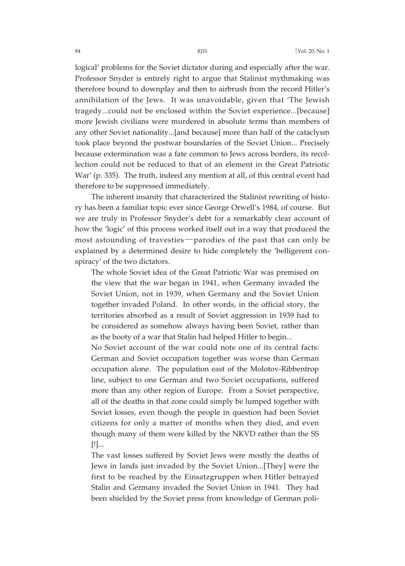logical' problems for the Soviet dictator during and especially after the war. Professor Snyder is entirely right to argue that Stalinist mythmaking was therefore bound to downplay and then to airbrush from the record Hitler's annihilation of the Jews. It was unavoidable, given that 'The Jewish tragedy...could not be enclosed within the Soviet experience...[because] more Jewish civilians were murdered in absolute terms than members of any other Soviet nationality...[and because] more than half of the cataclysm took place beyond the postwar boundaries of the Soviet Union... Precisely because extermination was a fate common to Jews across borders, its recollection could not be reduced to that of an element in the Great Patriotic War' (p. 335). The truth, indeed any mention at all, of this central event had therefore to be suppressed immediately.

The inherent insanity that characterized the Stalinist rewriting of history has been a familiar topic ever since George Orwell's 1984, of course. But we are truly in Professor Snyder's debt for a remarkably clear account of how the 'logic' of this process worked itself out in a way that produced the most astounding of travesties―parodies of the past that can only be explained by a determined desire to hide completely the 'belligerent conspiracy' of the two dictators.

The whole Soviet idea of the Great Patriotic War was premised on the view that the war began in 1941, when Germany invaded the Soviet Union, not in 1939, when Germany and the Soviet Union together invaded Poland. In other words, in the official story, the territories absorbed as a result of Soviet aggression in 1939 had to be considered as somehow always having been Soviet, rather than as the booty of a war that Stalin had helped Hitler to begin...

No Soviet account of the war could note one of its central facts: German and Soviet occupation together was worse than German occupation alone. The population east of the Molotov-Ribbentrop line, subject to one German and two Soviet occupations, suffered more than any other region of Europe. From a Soviet perspective, all of the deaths in that zone could simply be lumped together with Soviet losses, even though the people in question had been Soviet citizens for only a matter of months when they died, and even though many of them were killed by the NKVD rather than the SS [!]...

The vast losses suffered by Soviet Jews were mostly the deaths of Jews in lands just invaded by the Soviet Union...[They] were the first to be reached by the Einsatzgruppen when Hitler betrayed Stalin and Germany invaded the Soviet Union in 1941. They had been shielded by the Soviet press from knowledge of German poli